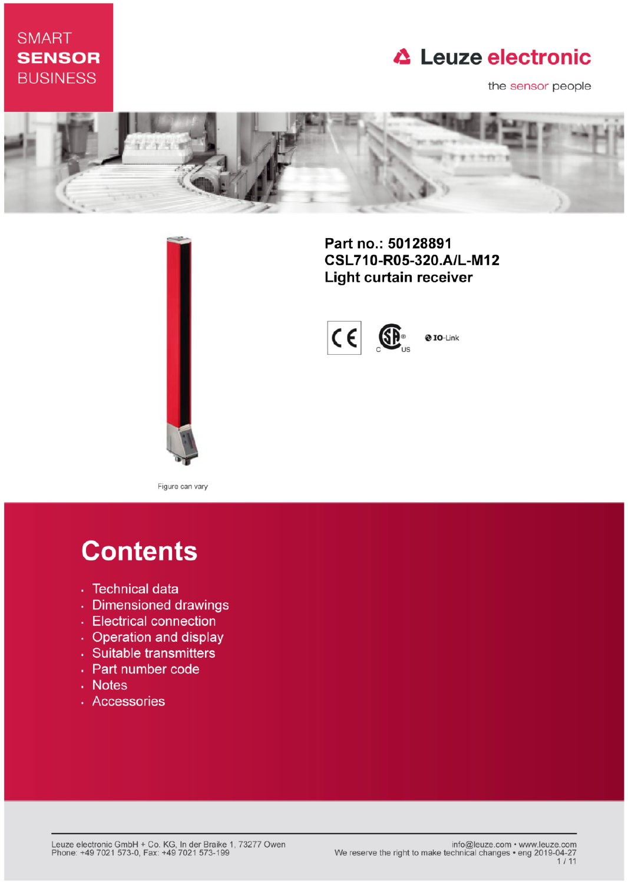## **SMART SENSOR BUSINESS**

## **△ Leuze electronic**

the sensor people





Part no.: 50128891 CSL710-R05-320.A/L-M12 **Light curtain receiver** 



Figure can vary

# **Contents**

- · Technical data
- · Dimensioned drawings
- Electrical connection
- Operation and display
- · Suitable transmitters
- Part number code
- . Notes
- · Accessories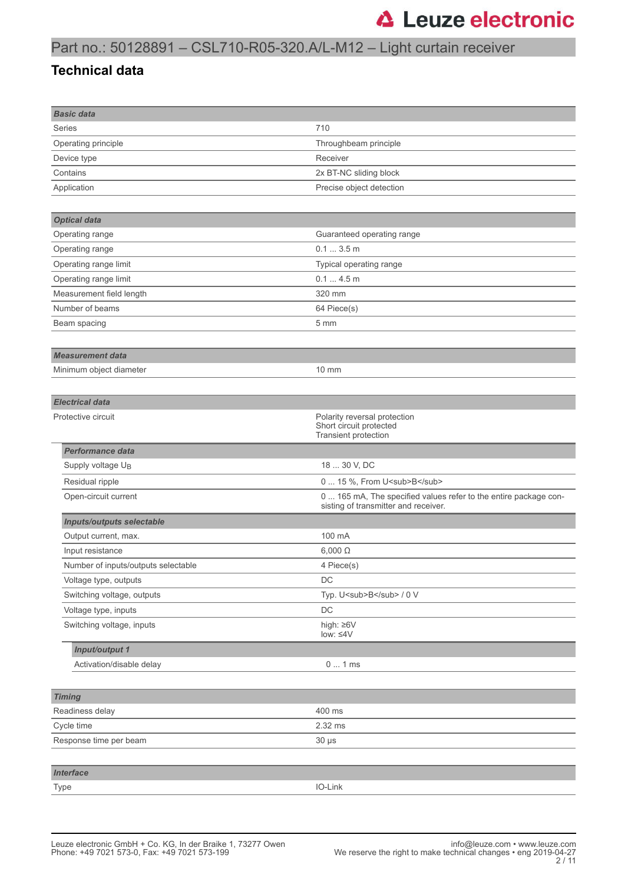## Part no.: 50128891 – CSL710-R05-320.A/L-M12 – Light curtain receiver

#### **Technical data**

| <b>Basic data</b>                   |                                                                  |
|-------------------------------------|------------------------------------------------------------------|
| Series                              | 710                                                              |
| Operating principle                 | Throughbeam principle                                            |
| Device type                         | Receiver                                                         |
| Contains                            | 2x BT-NC sliding block                                           |
| Application                         | Precise object detection                                         |
|                                     |                                                                  |
| <b>Optical data</b>                 |                                                                  |
| Operating range                     | Guaranteed operating range                                       |
| Operating range                     | 0.13.5m                                                          |
| Operating range limit               | Typical operating range                                          |
| Operating range limit               | 0.14.5m                                                          |
| Measurement field length            | 320 mm                                                           |
| Number of beams                     | 64 Piece(s)                                                      |
| Beam spacing                        | 5 mm                                                             |
|                                     |                                                                  |
| <b>Measurement data</b>             |                                                                  |
| Minimum object diameter             | $10 \text{ mm}$                                                  |
|                                     |                                                                  |
| <b>Electrical data</b>              |                                                                  |
| Protective circuit                  | Polarity reversal protection                                     |
|                                     | Short circuit protected<br>Transient protection                  |
| <b>Performance data</b>             |                                                                  |
| Supply voltage UB                   | 18  30 V, DC                                                     |
| Residual ripple                     | 0  15 %, From U <sub>B</sub>                                     |
| Open-circuit current                | 0  165 mA, The specified values refer to the entire package con- |
|                                     | sisting of transmitter and receiver.                             |
| <b>Inputs/outputs selectable</b>    |                                                                  |
| Output current, max.                | 100 mA                                                           |
| Input resistance                    | $6,000 \Omega$                                                   |
| Number of inputs/outputs selectable | 4 Piece(s)                                                       |
| Voltage type, outputs               | DC                                                               |
| Switching voltage, outputs          | Typ. U <sub>B</sub> / 0 V                                        |
| Voltage type, inputs                | $\mathsf{DC}$                                                    |
| Switching voltage, inputs           | high: ≥6V<br>low: $\leq 4V$                                      |
| Input/output 1                      |                                                                  |
| Activation/disable delay            | 01ms                                                             |
|                                     |                                                                  |
| <b>Timing</b>                       |                                                                  |
| Readiness delay                     | 400 ms                                                           |
| Cycle time                          | 2.32 ms                                                          |
| Response time per beam              | $30 \mu s$                                                       |
|                                     |                                                                  |
| <b>Interface</b>                    |                                                                  |
| Type                                | IO-Link                                                          |
|                                     |                                                                  |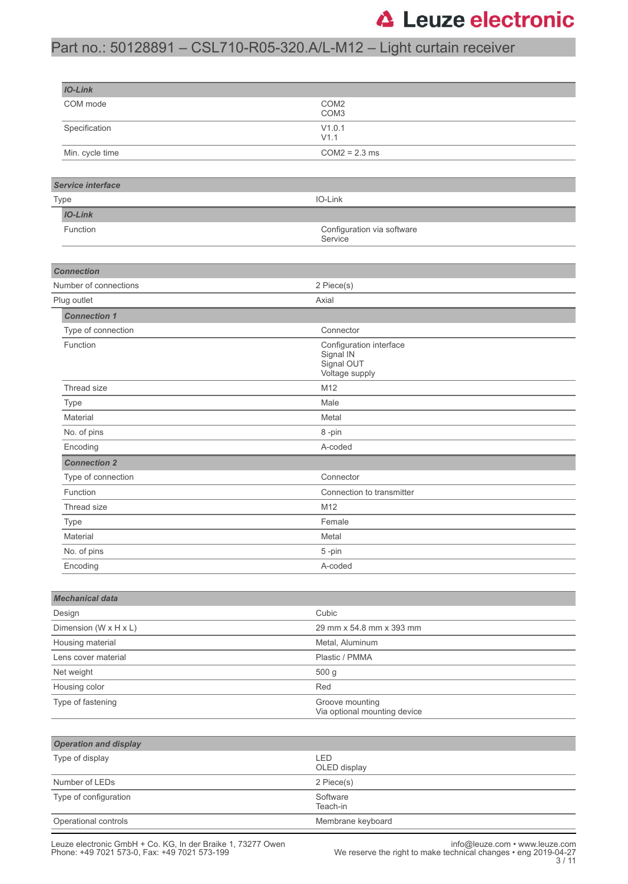## Part no.: 50128891 – CSL710-R05-320.A/L-M12 – Light curtain receiver

| <b>IO-Link</b>                        |                                                                      |  |  |  |
|---------------------------------------|----------------------------------------------------------------------|--|--|--|
| COM mode                              | COM <sub>2</sub><br>COM <sub>3</sub>                                 |  |  |  |
| Specification                         | V1.0.1<br>V1.1                                                       |  |  |  |
| Min. cycle time                       | $COM2 = 2.3$ ms                                                      |  |  |  |
|                                       |                                                                      |  |  |  |
| <b>Service interface</b>              |                                                                      |  |  |  |
| Type                                  | IO-Link                                                              |  |  |  |
| <b>IO-Link</b>                        |                                                                      |  |  |  |
| Function                              | Configuration via software<br>Service                                |  |  |  |
| <b>Connection</b>                     |                                                                      |  |  |  |
| Number of connections                 | 2 Piece(s)                                                           |  |  |  |
| Plug outlet                           | Axial                                                                |  |  |  |
| <b>Connection 1</b>                   |                                                                      |  |  |  |
| Type of connection                    | Connector                                                            |  |  |  |
| Function                              | Configuration interface<br>Signal IN<br>Signal OUT<br>Voltage supply |  |  |  |
| Thread size                           | M12                                                                  |  |  |  |
| Type                                  | Male                                                                 |  |  |  |
| Material                              | Metal                                                                |  |  |  |
| No. of pins                           | 8-pin                                                                |  |  |  |
| A-coded<br>Encoding                   |                                                                      |  |  |  |
| <b>Connection 2</b>                   |                                                                      |  |  |  |
| Type of connection                    | Connector                                                            |  |  |  |
| Function<br>Connection to transmitter |                                                                      |  |  |  |
| Thread size<br>M12                    |                                                                      |  |  |  |
| Type                                  | Female                                                               |  |  |  |
| Material                              | Metal                                                                |  |  |  |
| No. of pins                           | 5-pin                                                                |  |  |  |
| Encoding                              | A-coded                                                              |  |  |  |
|                                       |                                                                      |  |  |  |
| <b>Mechanical data</b><br>Design      | Cubic                                                                |  |  |  |
| Dimension (W x H x L)                 | 29 mm x 54.8 mm x 393 mm                                             |  |  |  |
| Housing material                      | Metal, Aluminum                                                      |  |  |  |
| Lens cover material                   | Plastic / PMMA                                                       |  |  |  |
| Net weight                            | 500 g                                                                |  |  |  |
| Housing color                         | Red                                                                  |  |  |  |
| Type of fastening                     | Groove mounting<br>Via optional mounting device                      |  |  |  |
|                                       |                                                                      |  |  |  |
| <b>Operation and display</b>          |                                                                      |  |  |  |
| Type of display                       | LED<br>OLED display                                                  |  |  |  |
| Number of LEDs                        | 2 Piece(s)                                                           |  |  |  |
| Type of configuration                 | Software<br>Teach-in                                                 |  |  |  |
| Operational controls                  | Membrane keyboard                                                    |  |  |  |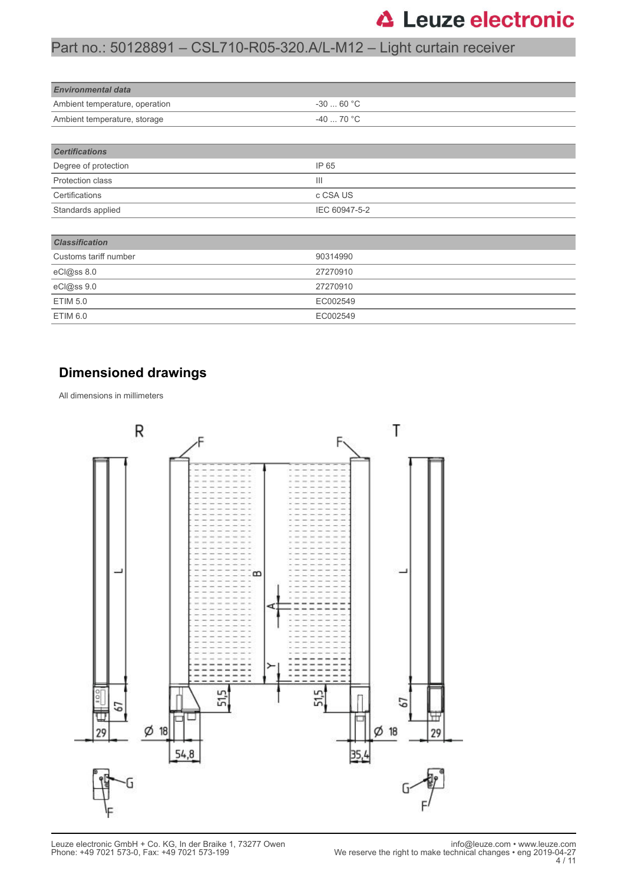## Part no.: 50128891 – CSL710-R05-320.A/L-M12 – Light curtain receiver

| <b>Environmental data</b>      |            |  |  |
|--------------------------------|------------|--|--|
| Ambient temperature, operation | $-3060 °C$ |  |  |
| Ambient temperature, storage   | $-4070 °C$ |  |  |
|                                |            |  |  |
| <b>Certifications</b>          |            |  |  |

| ---------------         |               |
|-------------------------|---------------|
| Degree of protection    | IP 65         |
| <b>Protection class</b> | Ш             |
| Certifications          | c CSA US      |
| Standards applied       | IEC 60947-5-2 |

| <b>Classification</b> |          |
|-----------------------|----------|
| Customs tariff number | 90314990 |
| eCl@ss 8.0            | 27270910 |
| eCl@ss 9.0            | 27270910 |
| ETIM 5.0              | EC002549 |
| ETIM 6.0              | EC002549 |

#### **Dimensioned drawings**

All dimensions in millimeters

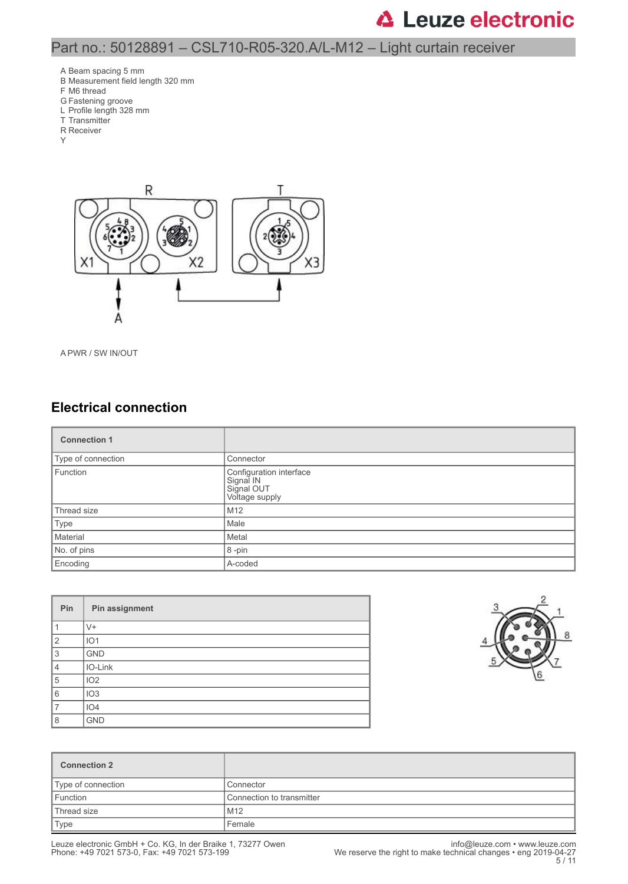#### Part no.: 50128891 – CSL710-R05-320.A/L-M12 – Light curtain receiver

- A Beam spacing 5 mm
- B Measurement field length 320 mm
- F M6 thread
- G Fastening groove
- L Profile length 328 mm
- T Transmitter R Receiver
- Y



A PWR / SW IN/OUT

#### **Electrical connection**

| <b>Connection 1</b> |                                                                      |  |
|---------------------|----------------------------------------------------------------------|--|
| Type of connection  | Connector                                                            |  |
| Function            | Configuration interface<br>Signal IN<br>Signal OUT<br>Voltage supply |  |
| Thread size         | M12                                                                  |  |
| Type                | Male                                                                 |  |
| Material            | Metal                                                                |  |
| No. of pins         | 8-pin                                                                |  |
| Encoding            | A-coded                                                              |  |

| Pin            | Pin assignment  |
|----------------|-----------------|
|                | $V +$           |
| $\overline{2}$ | IO <sub>1</sub> |
| 3              | <b>GND</b>      |
| $\overline{4}$ | IO-Link         |
| 5              | IO <sub>2</sub> |
| 6              | IO <sub>3</sub> |
| 7              | IO <sub>4</sub> |
| 8              | <b>GND</b>      |



| <b>Connection 2</b> |                           |
|---------------------|---------------------------|
| Type of connection  | Connector                 |
| Function            | Connection to transmitter |
| Thread size         | M12                       |
| Type                | Female                    |

Phone: +49 7021 573-0, Fax: +49 7021 573-199 We reserve the right to make technical changes • eng 2019-04-27 5 / 11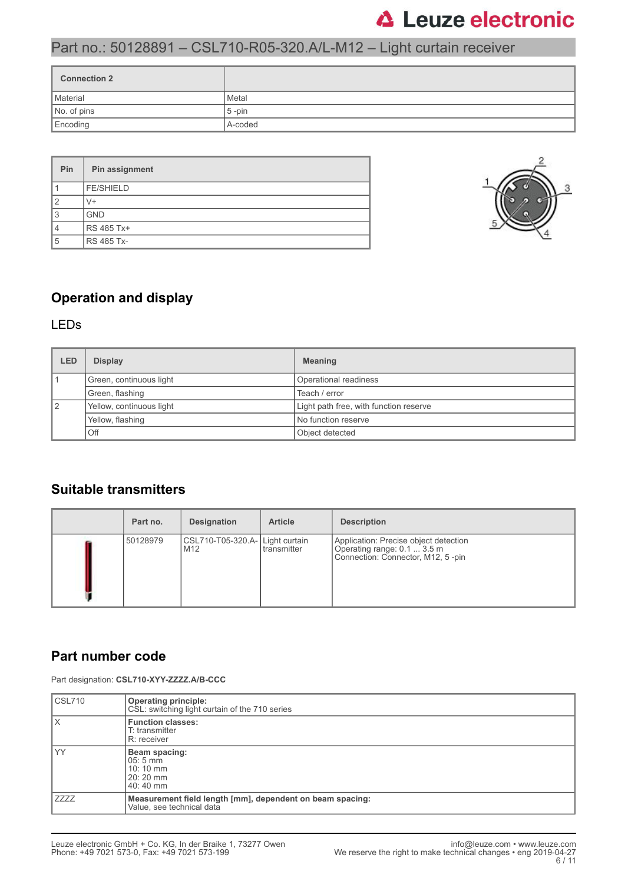## Part no.: 50128891 – CSL710-R05-320.A/L-M12 – Light curtain receiver

| <b>Connection 2</b> |           |
|---------------------|-----------|
| Material            | Metal     |
| No. of pins         | $5 - pin$ |
| Encoding            | A-coded   |

| Pin | Pin assignment    |
|-----|-------------------|
|     | <b>FE/SHIELD</b>  |
|     | V+                |
| 13  | <b>GND</b>        |
|     | RS 485 Tx+        |
| 15  | <b>RS 485 Tx-</b> |



#### **Operation and display**

#### LEDs

| LED | <b>Display</b>           | <b>Meaning</b>                         |  |
|-----|--------------------------|----------------------------------------|--|
|     | Green, continuous light  | Operational readiness                  |  |
|     | Green, flashing          | Teach / error                          |  |
| 12  | Yellow, continuous light | Light path free, with function reserve |  |
|     | Yellow, flashing         | No function reserve                    |  |
|     | Off                      | Object detected                        |  |

#### **Suitable transmitters**

| Part no. | <b>Designation</b>                     | <b>Article</b> | <b>Description</b>                                                                                        |
|----------|----------------------------------------|----------------|-----------------------------------------------------------------------------------------------------------|
| 50128979 | CSL710-T05-320.A- Light curtain<br>M12 | I transmitter  | Application: Precise object detection<br>Operating range: 0.1  3.5 m<br>Connection: Connector, M12, 5-pin |

#### **Part number code**

Part designation: **CSL710-XYY-ZZZZ.A/B-CCC**

| CSL710 | <b>Operating principle:</b><br>CSL: switching light curtain of the 710 series          |
|--------|----------------------------------------------------------------------------------------|
| ΙX     | <b>Function classes:</b><br>T: transmitter<br>R: receiver                              |
| l YY   | Beam spacing:<br>$05:5 \, \text{mm}$<br>10:10 mm<br>$20:20 \, \text{mm}$<br>40:40 mm   |
| I ZZZZ | Measurement field length [mm], dependent on beam spacing:<br>Value, see technical data |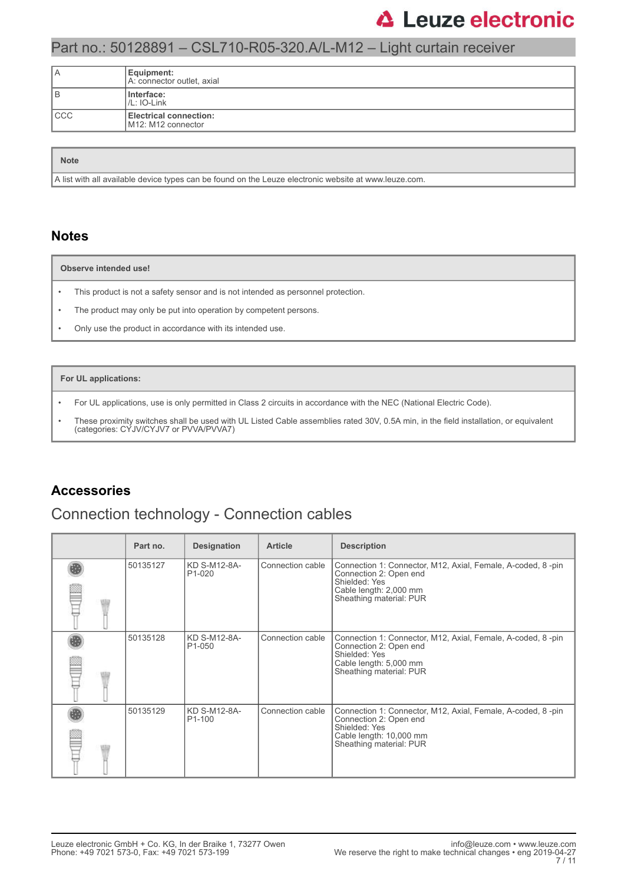### Part no.: 50128891 – CSL710-R05-320.A/L-M12 – Light curtain receiver

| ΙA  | Equipment:<br>A: connector outlet, axial            |
|-----|-----------------------------------------------------|
| B   | Interface:<br>$ /L:$ IO-Link                        |
| CCC | <b>Electrical connection:</b><br>M12: M12 connector |

| <b>Note</b>                                                                                                       |
|-------------------------------------------------------------------------------------------------------------------|
| $\parallel$ A list with all available device types can be found on the Leuze electronic website at www.leuze.com. |

#### **Notes**

#### **Observe intended use!**

- This product is not a safety sensor and is not intended as personnel protection.
- The product may only be put into operation by competent persons.
- Only use the product in accordance with its intended use.

#### **For UL applications:**

- For UL applications, use is only permitted in Class 2 circuits in accordance with the NEC (National Electric Code).
- These proximity switches shall be used with UL Listed Cable assemblies rated 30V, 0.5A min, in the field installation, or equivalent (categories: CYJV/CYJV7 or PVVA/PVVA7)

#### **Accessories**

#### Connection technology - Connection cables

| Part no. | <b>Designation</b>                  | <b>Article</b>   | <b>Description</b>                                                                                                                                           |
|----------|-------------------------------------|------------------|--------------------------------------------------------------------------------------------------------------------------------------------------------------|
| 50135127 | KD S-M12-8A-<br>P <sub>1</sub> -020 | Connection cable | Connection 1: Connector, M12, Axial, Female, A-coded, 8-pin<br>Connection 2: Open end<br>Shielded: Yes<br>Cable length: 2,000 mm<br>Sheathing material: PUR  |
| 50135128 | KD S-M12-8A-<br>P <sub>1</sub> -050 | Connection cable | Connection 1: Connector, M12, Axial, Female, A-coded, 8-pin<br>Connection 2: Open end<br>Shielded: Yes<br>Cable length: 5,000 mm<br>Sheathing material: PUR  |
| 50135129 | KD S-M12-8A-<br>P <sub>1</sub> -100 | Connection cable | Connection 1: Connector, M12, Axial, Female, A-coded, 8-pin<br>Connection 2: Open end<br>Shielded: Yes<br>Cable length: 10,000 mm<br>Sheathing material: PUR |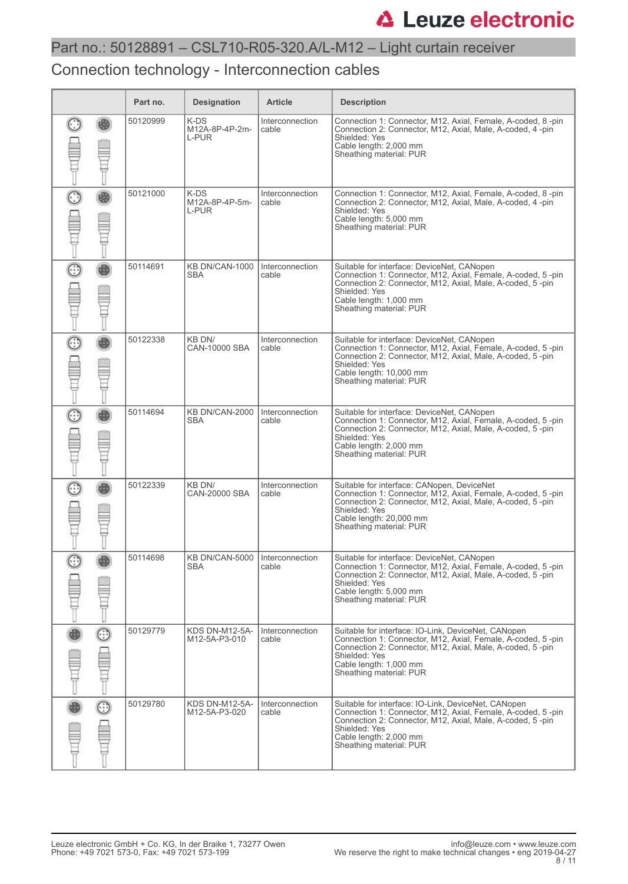## Part no.: 50128891 – CSL710-R05-320.A/L-M12 – Light curtain receiver

### Connection technology - Interconnection cables

|             | Part no. | <b>Designation</b>                             | <b>Article</b>           | <b>Description</b>                                                                                                                                                                                                                                    |
|-------------|----------|------------------------------------------------|--------------------------|-------------------------------------------------------------------------------------------------------------------------------------------------------------------------------------------------------------------------------------------------------|
|             | 50120999 | K-DS<br>M12A-8P-4P-2m-<br>L-PUR                | Interconnection<br>cable | Connection 1: Connector, M12, Axial, Female, A-coded, 8-pin<br>Connection 2: Connector, M12, Axial, Male, A-coded, 4-pin<br>Shielded: Yes<br>Cable length: 2,000 mm<br>Sheathing material: PUR                                                        |
| O<br>e di l | 50121000 | K-DS<br>M12A-8P-4P-5m-<br><b>L-PUR</b>         | Interconnection<br>cable | Connection 1: Connector, M12, Axial, Female, A-coded, 8 -pin<br>Connection 2: Connector, M12, Axial, Male, A-coded, 4-pin<br>Shielded: Yes<br>Cable length: 5,000 mm<br>Sheathing material: PUR                                                       |
| C           | 50114691 | KB DN/CAN-1000<br><b>SBA</b>                   | Interconnection<br>cable | Suitable for interface: DeviceNet, CANopen<br>Connection 1: Connector, M12, Axial, Female, A-coded, 5-pin<br>Connection 2: Connector, M12, Axial, Male, A-coded, 5-pin<br>Shielded: Yes<br>Cable length: 1,000 mm<br>Sheathing material: PUR          |
| O<br>E      | 50122338 | KB DN/<br>CAN-10000 SBA                        | Interconnection<br>cable | Suitable for interface: DeviceNet, CANopen<br>Connection 1: Connector, M12, Axial, Female, A-coded, 5-pin<br>Connection 2: Connector, M12, Axial, Male, A-coded, 5-pin<br>Shielded: Yes<br>Cable length: 10,000 mm<br>Sheathing material: PUR         |
| €           | 50114694 | KB DN/CAN-2000<br><b>SBA</b>                   | Interconnection<br>cable | Suitable for interface: DeviceNet, CANopen<br>Connection 1: Connector, M12, Axial, Female, A-coded, 5-pin<br>Connection 2: Connector, M12, Axial, Male, A-coded, 5-pin<br>Shielded: Yes<br>Cable length: 2,000 mm<br>Sheathing material: PUR          |
| C           | 50122339 | KB DN/<br>CAN-20000 SBA                        | Interconnection<br>cable | Suitable for interface: CANopen, DeviceNet<br>Connection 1: Connector, M12, Axial, Female, A-coded, 5-pin<br>Connection 2: Connector, M12, Axial, Male, A-coded, 5-pin<br>Shielded: Yes<br>Cable length: 20,000 mm<br>Sheathing material: PUR         |
|             | 50114698 | KB DN/CAN-5000   Interconnection<br><b>SBA</b> | cable                    | Suitable for interface: DeviceNet, CANopen<br>Connection 1: Connector, M12, Axial, Female, A-coded, 5-pin<br>Connection 2: Connector, M12, Axial, Male, A-coded, 5-pin<br>Shielded: Yes<br>Cable length: 5,000 mm<br>Sheathing material: PUR          |
| ☺           | 50129779 | KDS DN-M12-5A-<br>M12-5A-P3-010                | Interconnection<br>cable | Suitable for interface: IO-Link, DeviceNet, CANopen<br>Connection 1: Connector, M12, Axial, Female, A-coded, 5-pin<br>Connection 2: Connector, M12, Axial, Male, A-coded, 5-pin<br>Shielded: Yes<br>Cable length: 1,000 mm<br>Sheathing material: PUR |
| ☉           | 50129780 | KDS DN-M12-5A-<br>M12-5A-P3-020                | Interconnection<br>cable | Suitable for interface: IO-Link, DeviceNet, CANopen<br>Connection 1: Connector, M12, Axial, Female, A-coded, 5-pin<br>Connection 2: Connector, M12, Axial, Male, A-coded, 5-pin<br>Shielded: Yes<br>Cable length: 2,000 mm<br>Sheathing material: PUR |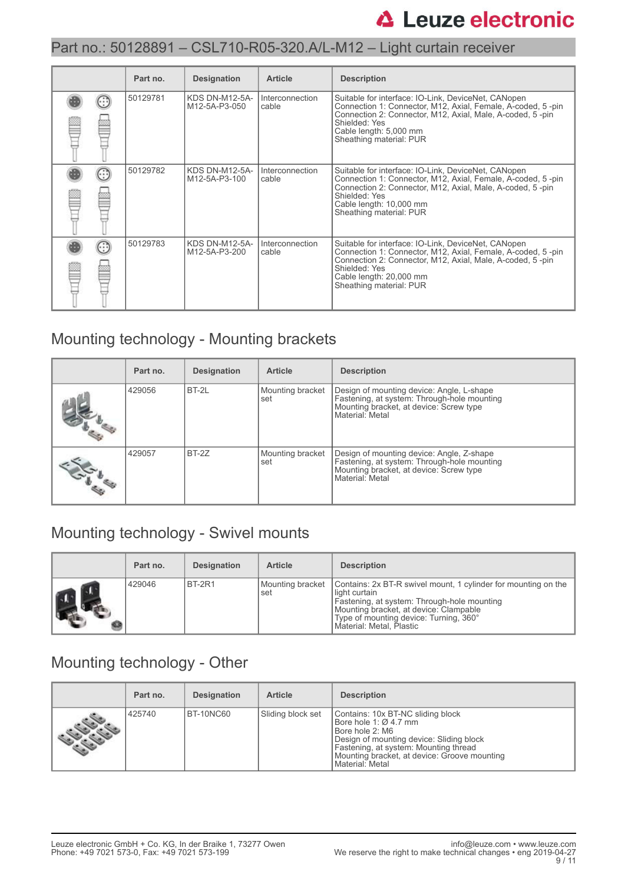### Part no.: 50128891 – CSL710-R05-320.A/L-M12 – Light curtain receiver

|  | Part no. | <b>Designation</b>              | <b>Article</b>           | <b>Description</b>                                                                                                                                                                                                                                     |
|--|----------|---------------------------------|--------------------------|--------------------------------------------------------------------------------------------------------------------------------------------------------------------------------------------------------------------------------------------------------|
|  | 50129781 | KDS DN-M12-5A-<br>M12-5A-P3-050 | Interconnection<br>cable | Suitable for interface: IO-Link, DeviceNet, CANopen<br>Connection 1: Connector, M12, Axial, Female, A-coded, 5-pin<br>Connection 2: Connector, M12, Axial, Male, A-coded, 5-pin<br>Shielded: Yes<br>Cable length: 5,000 mm<br>Sheathing material: PUR  |
|  | 50129782 | KDS DN-M12-5A-<br>M12-5A-P3-100 | Interconnection<br>cable | Suitable for interface: IO-Link, DeviceNet, CANopen<br>Connection 1: Connector, M12, Axial, Female, A-coded, 5-pin<br>Connection 2: Connector, M12, Axial, Male, A-coded, 5-pin<br>Shielded: Yes<br>Cable length: 10,000 mm<br>Sheathing material: PUR |
|  | 50129783 | KDS DN-M12-5A-<br>M12-5A-P3-200 | Interconnection<br>cable | Suitable for interface: IO-Link, DeviceNet, CANopen<br>Connection 1: Connector, M12, Axial, Female, A-coded, 5-pin<br>Connection 2: Connector, M12, Axial, Male, A-coded, 5-pin<br>Shielded: Yes<br>Cable length: 20,000 mm<br>Sheathing material: PUR |

## Mounting technology - Mounting brackets

| Part no. | <b>Designation</b> | <b>Article</b>          | <b>Description</b>                                                                                                                                     |
|----------|--------------------|-------------------------|--------------------------------------------------------------------------------------------------------------------------------------------------------|
| 429056   | BT-2L              | Mounting bracket<br>set | Design of mounting device: Angle, L-shape<br>Fastening, at system: Through-hole mounting<br>Mounting bracket, at device: Screw type<br>Material: Metal |
| 429057   | BT-2Z              | Mounting bracket<br>set | Design of mounting device: Angle, Z-shape<br>Fastening, at system: Through-hole mounting<br>Mounting bracket, at device: Screw type<br>Material: Metal |

## Mounting technology - Swivel mounts

| Part no. | <b>Designation</b> | <b>Article</b>          | <b>Description</b>                                                                                                                                                                                                                             |
|----------|--------------------|-------------------------|------------------------------------------------------------------------------------------------------------------------------------------------------------------------------------------------------------------------------------------------|
| 429046   | BT-2R1             | Mounting bracket<br>set | Contains: 2x BT-R swivel mount, 1 cylinder for mounting on the<br>light curtain<br>Fastening, at system: Through-hole mounting<br>Mounting bracket, at device: Clampable<br>Type of mounting device: Turning, 360°<br>Material: Metal, Plastic |

### Mounting technology - Other

| Part no. | <b>Designation</b> | <b>Article</b>    | <b>Description</b>                                                                                                                                                                                                                    |
|----------|--------------------|-------------------|---------------------------------------------------------------------------------------------------------------------------------------------------------------------------------------------------------------------------------------|
| 425740   | BT-10NC60          | Sliding block set | Contains: 10x BT-NC sliding block<br>Bore hole 1: Ø 4.7 mm<br>Bore hole 2: M6<br>Design of mounting device: Sliding block<br>Fastening, at system: Mounting thread<br>Mounting bracket, at device: Groove mounting<br>Material: Metal |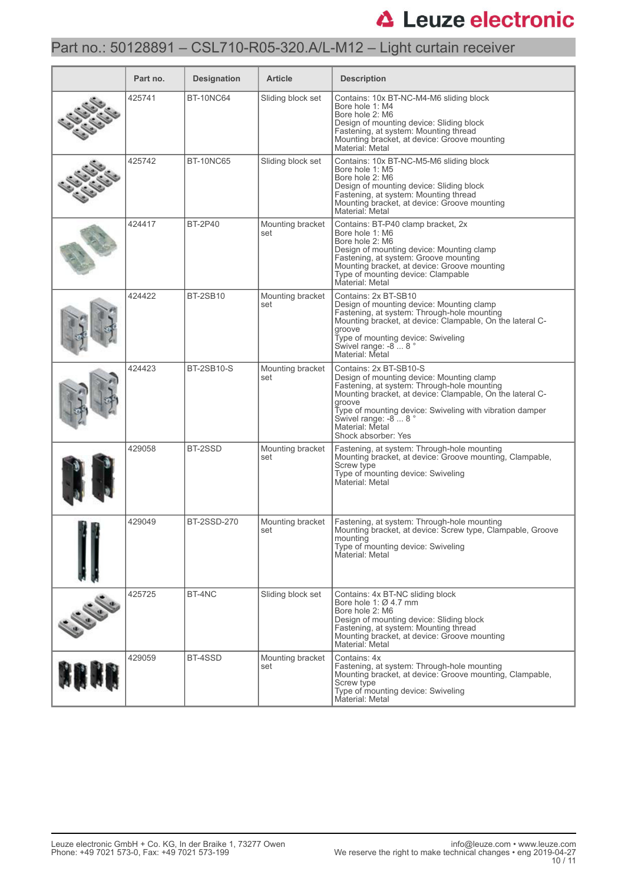## Part no.: 50128891 – CSL710-R05-320.A/L-M12 – Light curtain receiver

| Part no. | <b>Designation</b> | <b>Article</b>          | <b>Description</b>                                                                                                                                                                                                                                                                                                       |
|----------|--------------------|-------------------------|--------------------------------------------------------------------------------------------------------------------------------------------------------------------------------------------------------------------------------------------------------------------------------------------------------------------------|
| 425741   | <b>BT-10NC64</b>   | Sliding block set       | Contains: 10x BT-NC-M4-M6 sliding block<br>Bore hole 1: M4<br>Bore hole 2: M6<br>Design of mounting device: Sliding block<br>Fastening, at system: Mounting thread<br>Mounting bracket, at device: Groove mounting<br>Material: Metal                                                                                    |
| 425742   | <b>BT-10NC65</b>   | Sliding block set       | Contains: 10x BT-NC-M5-M6 sliding block<br>Bore hole 1: M5<br>Bore hole 2: M6<br>Design of mounting device: Sliding block<br>Fastening, at system: Mounting thread<br>Mounting bracket, at device: Groove mounting<br>Material: Metal                                                                                    |
| 424417   | <b>BT-2P40</b>     | Mounting bracket<br>set | Contains: BT-P40 clamp bracket, 2x<br>Bore hole 1: M6<br>Bore hole 2: M6<br>Design of mounting device: Mounting clamp<br>Fastening, at system: Groove mounting<br>Mounting bracket, at device: Groove mounting<br>Type of mounting device: Clampable<br>Material: Metal                                                  |
| 424422   | <b>BT-2SB10</b>    | Mounting bracket<br>set | Contains: 2x BT-SB10<br>Design of mounting device: Mounting clamp<br>Fastening, at system: Through-hole mounting<br>Mounting bracket, at device: Clampable, On the lateral C-<br>groove<br>Type of mounting device: Swiveling<br>Swivel range: -8  8 °<br>Material: Metal                                                |
| 424423   | <b>BT-2SB10-S</b>  | Mounting bracket<br>set | Contains: 2x BT-SB10-S<br>Design of mounting device: Mounting clamp<br>Fastening, at system: Through-hole mounting<br>Mounting bracket, at device: Clampable, On the lateral C-<br>groove T<br>Type of mounting device: Swiveling with vibration damper<br>Swivel range: -8 8°<br>Material: Metal<br>Shock absorber: Yes |
| 429058   | BT-2SSD            | Mounting bracket<br>set | Fastening, at system: Through-hole mounting<br>Mounting bracket, at device: Groove mounting, Clampable,<br>Screw type<br>Type of mounting device: Swiveling<br>Material: Metal                                                                                                                                           |
| 429049   | <b>BT-2SSD-270</b> | Mounting bracket<br>set | Fastening, at system: Through-hole mounting<br>Mounting bracket, at device: Screw type, Clampable, Groove<br>mounting<br>Type of mounting device: Swiveling<br>Material: Metal                                                                                                                                           |
| 425725   | BT-4NC             | Sliding block set       | Contains: 4x BT-NC sliding block<br>Bore hole 1: $\varnothing$ 4.7 mm<br>Bore hole 2: M6<br>Design of mounting device: Sliding block<br>Fastening, at system: Mounting thread<br>Mounting bracket, at device: Groove mounting<br>Material: Metal                                                                         |
| 429059   | BT-4SSD            | Mounting bracket<br>set | Contains: 4x<br>Fastening, at system: Through-hole mounting<br>Mounting bracket, at device: Groove mounting, Clampable,<br>Screw type<br>Type of mounting device: Swiveling<br>Material: Metal                                                                                                                           |